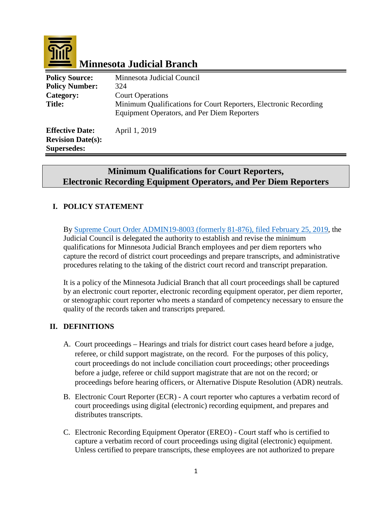

# **Minnesota Judicial Branch**

| <b>Policy Source:</b><br><b>Policy Number:</b><br>Category:              | Minnesota Judicial Council<br>324<br><b>Court Operations</b>                                                           |
|--------------------------------------------------------------------------|------------------------------------------------------------------------------------------------------------------------|
| <b>Title:</b>                                                            | Minimum Qualifications for Court Reporters, Electronic Recording<br><b>Equipment Operators, and Per Diem Reporters</b> |
| <b>Effective Date:</b><br><b>Revision Date(s):</b><br><b>Supersedes:</b> | April 1, 2019                                                                                                          |

## **Minimum Qualifications for Court Reporters, Electronic Recording Equipment Operators, and Per Diem Reporters**

## **I. POLICY STATEMENT**

By [Supreme Court Order ADMIN19-8003 \(formerly 81-876\), filed February 25, 2019,](http://courtnet.courts.state.mn.us/Documents/100/docs/Judicial_Council/HR/Administrative_-_Order_-_Other_ADM19-8003_In_re_Recording_of_official_court_proceedings.pdf) the Judicial Council is delegated the authority to establish and revise the minimum qualifications for Minnesota Judicial Branch employees and per diem reporters who capture the record of district court proceedings and prepare transcripts, and administrative procedures relating to the taking of the district court record and transcript preparation.

It is a policy of the Minnesota Judicial Branch that all court proceedings shall be captured by an electronic court reporter, electronic recording equipment operator, per diem reporter, or stenographic court reporter who meets a standard of competency necessary to ensure the quality of the records taken and transcripts prepared.

#### **II. DEFINITIONS**

- A. Court proceedings Hearings and trials for district court cases heard before a judge, referee, or child support magistrate, on the record. For the purposes of this policy, court proceedings do not include conciliation court proceedings; other proceedings before a judge, referee or child support magistrate that are not on the record; or proceedings before hearing officers, or Alternative Dispute Resolution (ADR) neutrals.
- B. Electronic Court Reporter (ECR) A court reporter who captures a verbatim record of court proceedings using digital (electronic) recording equipment, and prepares and distributes transcripts.
- C. Electronic Recording Equipment Operator (EREO) Court staff who is certified to capture a verbatim record of court proceedings using digital (electronic) equipment. Unless certified to prepare transcripts, these employees are not authorized to prepare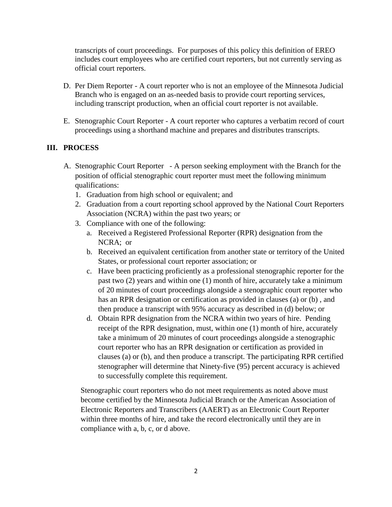transcripts of court proceedings. For purposes of this policy this definition of EREO includes court employees who are certified court reporters, but not currently serving as official court reporters.

- D. Per Diem Reporter A court reporter who is not an employee of the Minnesota Judicial Branch who is engaged on an as-needed basis to provide court reporting services, including transcript production, when an official court reporter is not available.
- E. Stenographic Court Reporter A court reporter who captures a verbatim record of court proceedings using a shorthand machine and prepares and distributes transcripts.

### **III. PROCESS**

- A. Stenographic Court Reporter A person seeking employment with the Branch for the position of official stenographic court reporter must meet the following minimum qualifications:
	- 1. Graduation from high school or equivalent; and
	- 2. Graduation from a court reporting school approved by the National Court Reporters Association (NCRA) within the past two years; or
	- 3. Compliance with one of the following:
		- a. Received a Registered Professional Reporter (RPR) designation from the NCRA; or
		- b. Received an equivalent certification from another state or territory of the United States, or professional court reporter association; or
		- c. Have been practicing proficiently as a professional stenographic reporter for the past two (2) years and within one (1) month of hire, accurately take a minimum of 20 minutes of court proceedings alongside a stenographic court reporter who has an RPR designation or certification as provided in clauses (a) or (b) , and then produce a transcript with 95% accuracy as described in (d) below; or
		- d. Obtain RPR designation from the NCRA within two years of hire. Pending receipt of the RPR designation, must, within one (1) month of hire, accurately take a minimum of 20 minutes of court proceedings alongside a stenographic court reporter who has an RPR designation or certification as provided in clauses (a) or (b), and then produce a transcript. The participating RPR certified stenographer will determine that Ninety-five (95) percent accuracy is achieved to successfully complete this requirement.

Stenographic court reporters who do not meet requirements as noted above must become certified by the Minnesota Judicial Branch or the American Association of Electronic Reporters and Transcribers (AAERT) as an Electronic Court Reporter within three months of hire, and take the record electronically until they are in compliance with a, b, c, or d above.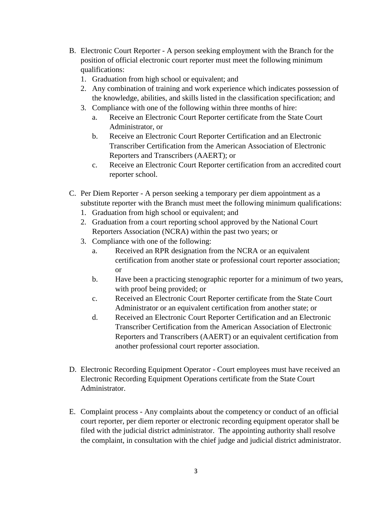- B. Electronic Court Reporter A person seeking employment with the Branch for the position of official electronic court reporter must meet the following minimum qualifications:
	- 1. Graduation from high school or equivalent; and
	- 2. Any combination of training and work experience which indicates possession of the knowledge, abilities, and skills listed in the classification specification; and
	- 3. Compliance with one of the following within three months of hire:
		- a. Receive an Electronic Court Reporter certificate from the State Court Administrator, or
		- b. Receive an Electronic Court Reporter Certification and an Electronic Transcriber Certification from the American Association of Electronic Reporters and Transcribers (AAERT); or
		- c. Receive an Electronic Court Reporter certification from an accredited court reporter school.
- C. Per Diem Reporter A person seeking a temporary per diem appointment as a substitute reporter with the Branch must meet the following minimum qualifications:
	- 1. Graduation from high school or equivalent; and
	- 2. Graduation from a court reporting school approved by the National Court Reporters Association (NCRA) within the past two years; or
	- 3. Compliance with one of the following:
		- a. Received an RPR designation from the NCRA or an equivalent certification from another state or professional court reporter association; or
		- b. Have been a practicing stenographic reporter for a minimum of two years, with proof being provided; or
		- c. Received an Electronic Court Reporter certificate from the State Court Administrator or an equivalent certification from another state; or
		- d. Received an Electronic Court Reporter Certification and an Electronic Transcriber Certification from the American Association of Electronic Reporters and Transcribers (AAERT) or an equivalent certification from another professional court reporter association.
- D. Electronic Recording Equipment Operator Court employees must have received an Electronic Recording Equipment Operations certificate from the State Court Administrator.
- E. Complaint process Any complaints about the competency or conduct of an official court reporter, per diem reporter or electronic recording equipment operator shall be filed with the judicial district administrator. The appointing authority shall resolve the complaint, in consultation with the chief judge and judicial district administrator.